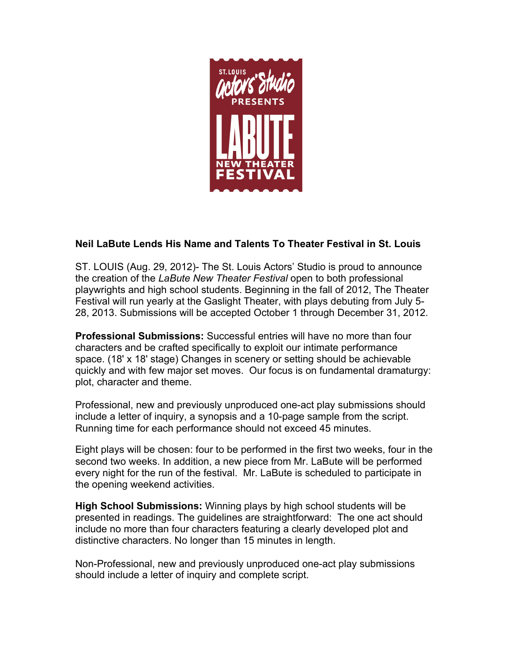

## **Neil LaBute Lends His Name and Talents To Theater Festival in St. Louis**

ST. LOUIS (Aug. 29, 2012)- The St. Louis Actors' Studio is proud to announce the creation of the *LaBute New Theater Festival* open to both professional playwrights and high school students. Beginning in the fall of 2012, The Theater Festival will run yearly at the Gaslight Theater, with plays debuting from July 5- 28, 2013. Submissions will be accepted October 1 through December 31, 2012.

**Professional Submissions:** Successful entries will have no more than four characters and be crafted specifically to exploit our intimate performance space. (18' x 18' stage) Changes in scenery or setting should be achievable quickly and with few major set moves. Our focus is on fundamental dramaturgy: plot, character and theme.

Professional, new and previously unproduced one-act play submissions should include a letter of inquiry, a synopsis and a 10-page sample from the script. Running time for each performance should not exceed 45 minutes.

Eight plays will be chosen: four to be performed in the first two weeks, four in the second two weeks. In addition, a new piece from Mr. LaBute will be performed every night for the run of the festival. Mr. LaBute is scheduled to participate in the opening weekend activities.

**High School Submissions:** Winning plays by high school students will be presented in readings. The guidelines are straightforward: The one act should include no more than four characters featuring a clearly developed plot and distinctive characters. No longer than 15 minutes in length.

Non-Professional, new and previously unproduced one-act play submissions should include a letter of inquiry and complete script.